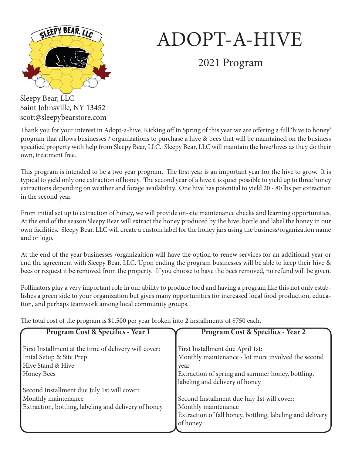

# ADOPT-A-HIVE

2021 Program

Sleepy Bear, LLC Saint Johnsville, NY 13452 scott@sleepybearstore.com

Thank you for your interest in Adopt-a-hive. Kicking off in Spring of this year we are offering a full 'hive to honey' program that allows businesses / organizations to purchase a hive & bees that will be maintained on the business specified property with help from Sleepy Bear, LLC. Sleepy Bear, LLC will maintain the hive/hives as they do their own, treatment free.

This program is intended to be a two year program. The first year is an important year for the hive to grow. It is typical to yield only one extraction of honey. The second year of a hive it is quiet possible to yield up to three honey extractions depending on weather and forage availability. One hive has potential to yield 20 - 80 lbs per extraction in the second year.

From initial set up to extraction of honey, we will provide on-site maintenance checks and learning opportunities. At the end of the season Sleepy Bear will extract the honey produced by the hive. bottle and label the honey in our own facilities. Sleepy Bear, LLC will create a custom label for the honey jars using the business/organization name and or logo.

At the end of the year businesses /organizaition will have the option to renew services for an additional year or end the agreement with Sleepy Bear, LLC. Upon ending the program businesses will be able to keep their hive & bees or request it be removed from the property. If you choose to have the bees removed, no refund will be given.

Pollinators play a very important role in our ability to produce food and having a program like this not only establishes a green side to your organization but gives many opportunities for increased local food production, education, and perhaps teamwork among local community groups.

The total cost of the program is \$1,500 per year broken into 2 installments of \$750 each.

| Program Cost & Specifics - Year 1                     | Program Cost & Specifics - Year 2                         |
|-------------------------------------------------------|-----------------------------------------------------------|
| First Installment at the time of delivery will cover: | First Installment due April 1st:                          |
| Inital Setup & Site Prep                              | Monthly maintenance - lot more involved the second        |
| Hive Stand & Hive                                     | year                                                      |
| <b>Honey Bees</b>                                     | Extraction of spring and summer honey, bottling,          |
|                                                       | labeling and delivery of honey                            |
| Second Installment due July 1st will cover:           |                                                           |
| Monthly maintenance                                   | Second Installment due July 1st will cover:               |
| Extraction, bottling, labeling and delivery of honey  | Monthly maintenance                                       |
|                                                       | Extraction of fall honey, bottling, labeling and delivery |
|                                                       | of honey                                                  |
|                                                       |                                                           |